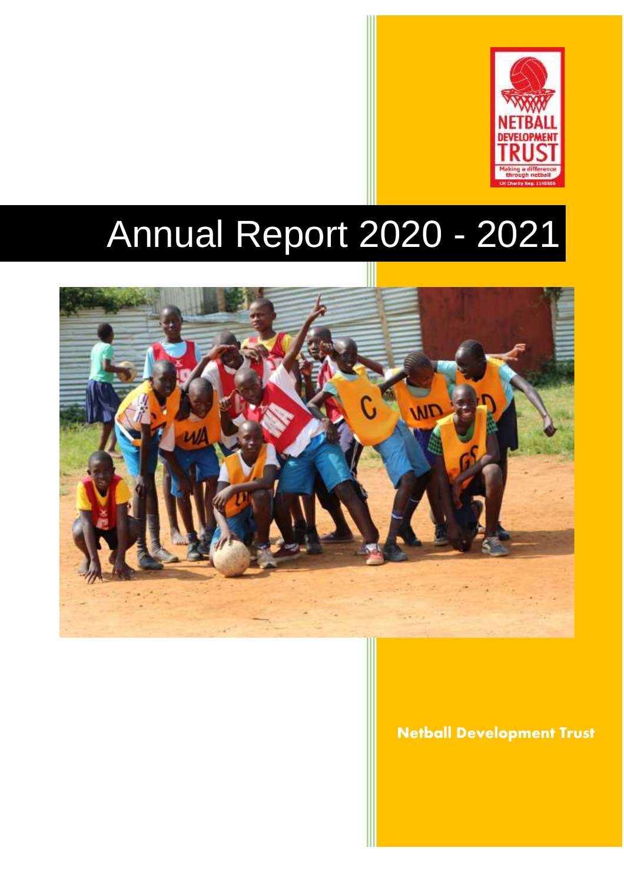

# Annual Report 2020 - 2021



Netball Development Trust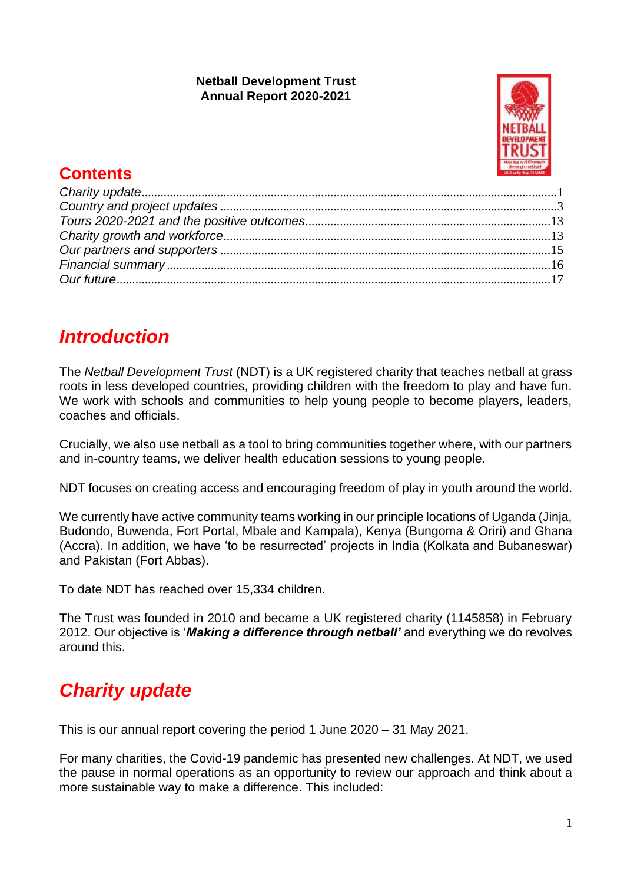#### **Netball Development Trust Annual Report 2020-2021**



## **Contents**

## *Introduction*

The *Netball Development Trust* (NDT) is a UK registered charity that teaches netball at grass roots in less developed countries, providing children with the freedom to play and have fun. We work with schools and communities to help young people to become players, leaders, coaches and officials.

Crucially, we also use netball as a tool to bring communities together where, with our partners and in-country teams, we deliver health education sessions to young people.

NDT focuses on creating access and encouraging freedom of play in youth around the world.

We currently have active community teams working in our principle locations of Uganda (Jinja, Budondo, Buwenda, Fort Portal, Mbale and Kampala), Kenya (Bungoma & Oriri) and Ghana (Accra). In addition, we have 'to be resurrected' projects in India (Kolkata and Bubaneswar) and Pakistan (Fort Abbas).

To date NDT has reached over 15,334 children.

The Trust was founded in 2010 and became a UK registered charity (1145858) in February 2012. Our objective is '*Making a difference through netball'* and everything we do revolves around this.

# <span id="page-1-0"></span>*Charity update*

This is our annual report covering the period 1 June 2020 – 31 May 2021.

For many charities, the Covid-19 pandemic has presented new challenges. At NDT, we used the pause in normal operations as an opportunity to review our approach and think about a more sustainable way to make a difference. This included: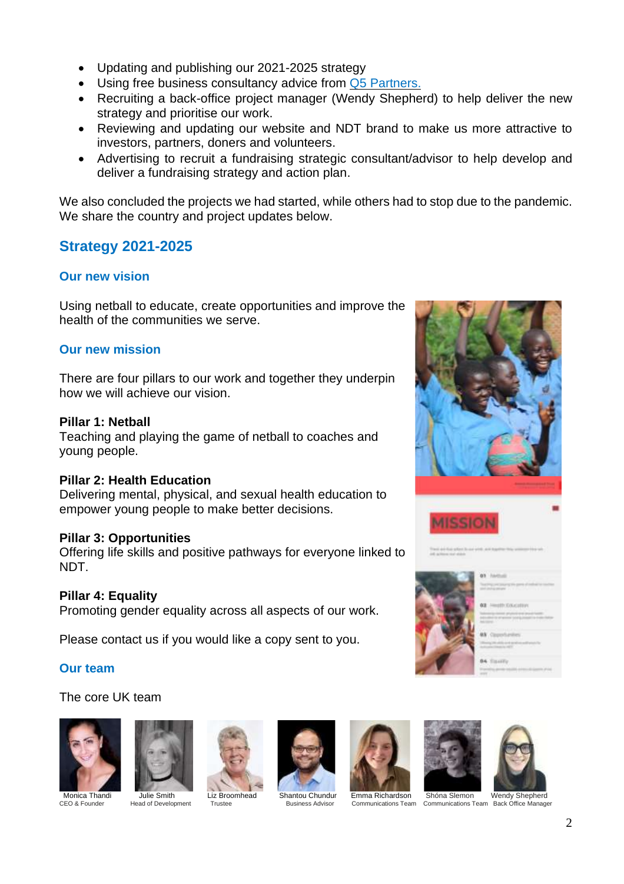- Updating and publishing our 2021-2025 strategy
- Using free business consultancy advice from Q5 [Partners.](https://www.q5partners.com/)
- Recruiting a back-office project manager (Wendy Shepherd) to help deliver the new strategy and prioritise our work.
- Reviewing and updating our website and NDT brand to make us more attractive to investors, partners, doners and volunteers.
- Advertising to recruit a fundraising strategic consultant/advisor to help develop and deliver a fundraising strategy and action plan.

We also concluded the projects we had started, while others had to stop due to the pandemic. We share the country and project updates below.

## **Strategy 2021-2025**

#### **Our new vision**

Using netball to educate, create opportunities and improve the health of the communities we serve.

#### **Our new mission**

There are four pillars to our work and together they underpin how we will achieve our vision.

#### **Pillar 1: Netball**

Teaching and playing the game of netball to coaches and young people.

#### **Pillar 2: Health Education**

Delivering mental, physical, and sexual health education to empower young people to make better decisions.

#### **Pillar 3: Opportunities**

Offering life skills and positive pathways for everyone linked to NDT.

#### **Pillar 4: Equality**

Promoting gender equality across all aspects of our work.

Please contact us if you would like a copy sent to you.

#### **Our team**

#### The core UK team













 Monica Thandi Julie Smith Liz Broomhead Shantou Chundur Emma Richardson Shóna Slemon Wendy Shepherd CEO & Founder Head of Development Trustee Business Advisor Communications Team Communications Team Back Office Manager

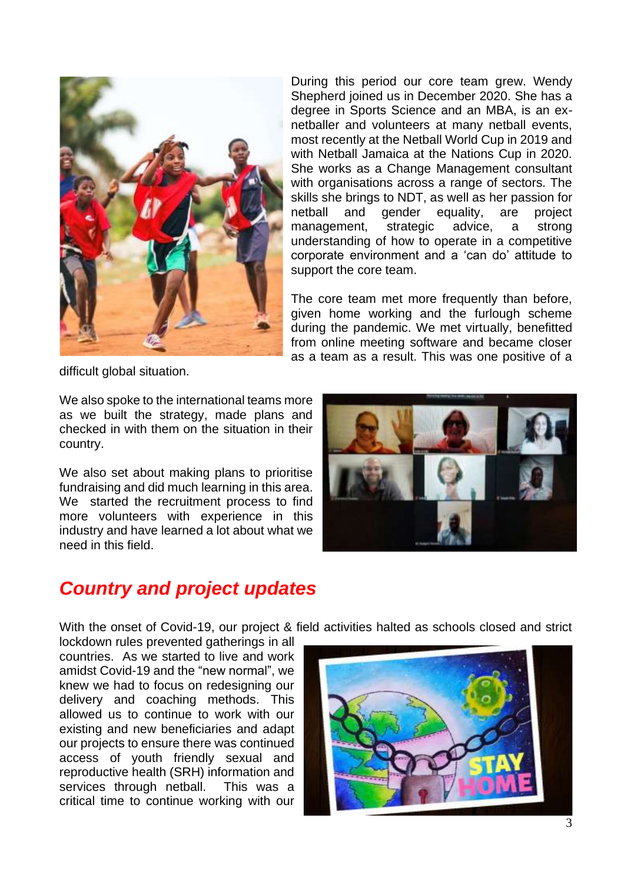

During this period our core team grew. Wendy Shepherd joined us in December 2020. She has a degree in Sports Science and an MBA, is an exnetballer and volunteers at many netball events, most recently at the Netball World Cup in 2019 and with Netball Jamaica at the Nations Cup in 2020. She works as a Change Management consultant with organisations across a range of sectors. The skills she brings to NDT, as well as her passion for netball and gender equality, are project management, strategic advice, a strong understanding of how to operate in a competitive corporate environment and a 'can do' attitude to support the core team.

The core team met more frequently than before, given home working and the furlough scheme during the pandemic. We met virtually, benefitted from online meeting software and became closer as a team as a result. This was one positive of a

difficult global situation.

We also spoke to the international teams more as we built the strategy, made plans and checked in with them on the situation in their country.

We also set about making plans to prioritise fundraising and did much learning in this area. We started the recruitment process to find more volunteers with experience in this industry and have learned a lot about what we need in this field.



## <span id="page-3-0"></span>*Country and project updates*

With the onset of Covid-19, our project & field activities halted as schools closed and strict

lockdown rules prevented gatherings in all countries. As we started to live and work amidst Covid-19 and the "new normal", we knew we had to focus on redesigning our delivery and coaching methods. This allowed us to continue to work with our existing and new beneficiaries and adapt our projects to ensure there was continued access of youth friendly sexual and reproductive health (SRH) information and services through netball. This was a critical time to continue working with our

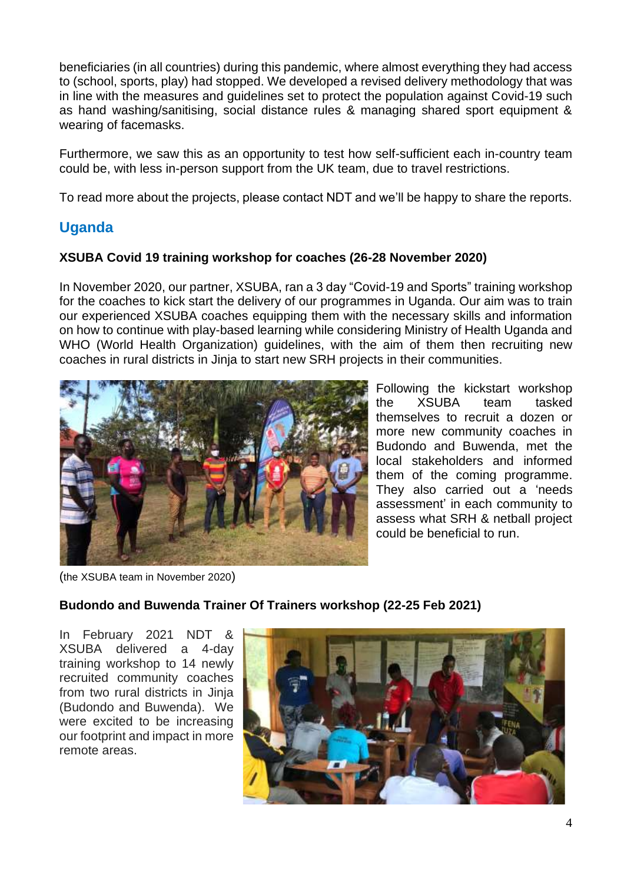beneficiaries (in all countries) during this pandemic, where almost everything they had access to (school, sports, play) had stopped. We developed a revised delivery methodology that was in line with the measures and guidelines set to protect the population against Covid-19 such as hand washing/sanitising, social distance rules & managing shared sport equipment & wearing of facemasks.

Furthermore, we saw this as an opportunity to test how self-sufficient each in-country team could be, with less in-person support from the UK team, due to travel restrictions.

To read more about the projects, please contact NDT and we'll be happy to share the reports.

## **Uganda**

#### **XSUBA Covid 19 training workshop for coaches (26-28 November 2020)**

In November 2020, our partner, XSUBA, ran a 3 day "Covid-19 and Sports" training workshop for the coaches to kick start the delivery of our programmes in Uganda. Our aim was to train our experienced XSUBA coaches equipping them with the necessary skills and information on how to continue with play-based learning while considering Ministry of Health Uganda and WHO (World Health Organization) guidelines, with the aim of them then recruiting new coaches in rural districts in Jinja to start new SRH projects in their communities.



Following the kickstart workshop the XSUBA team tasked themselves to recruit a dozen or more new community coaches in Budondo and Buwenda, met the local stakeholders and informed them of the coming programme. They also carried out a 'needs assessment' in each community to assess what SRH & netball project could be beneficial to run.

(the XSUBA team in November 2020)

#### **Budondo and Buwenda Trainer Of Trainers workshop (22-25 Feb 2021)**

In February 2021 NDT & XSUBA delivered a 4-day training workshop to 14 newly recruited community coaches from two rural districts in Jinja (Budondo and Buwenda). We were excited to be increasing our footprint and impact in more remote areas.

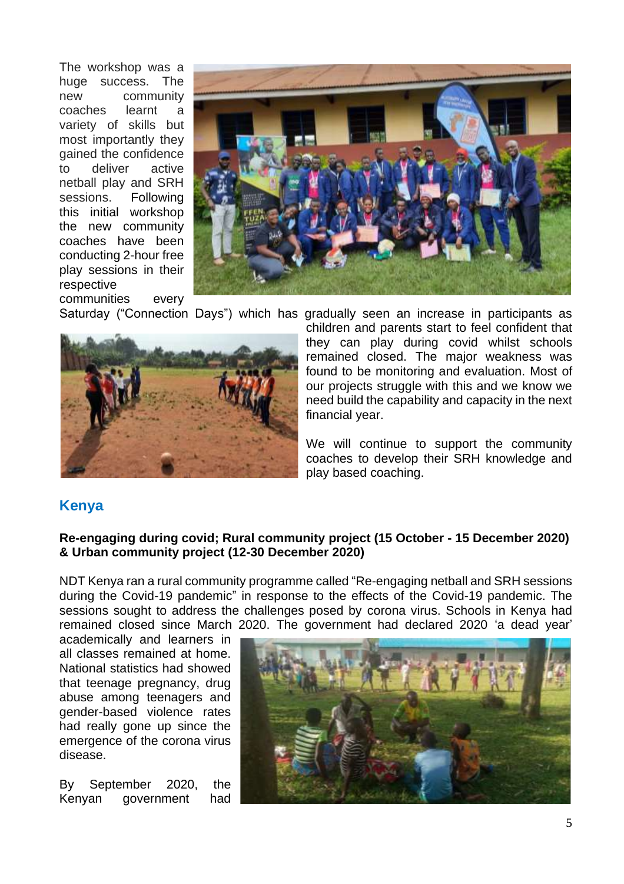The workshop was a huge success. The new community<br>coaches learnt a coaches learnt a variety of skills but most importantly they gained the confidence to deliver active netball play and SRH sessions. Following this initial workshop the new community coaches have been conducting 2-hour free play sessions in their respective communities every



Saturday ("Connection Days") which has gradually seen an increase in participants as



children and parents start to feel confident that they can play during covid whilst schools remained closed. The major weakness was found to be monitoring and evaluation. Most of our projects struggle with this and we know we need build the capability and capacity in the next financial year.

We will continue to support the community coaches to develop their SRH knowledge and play based coaching.

### **Kenya**

#### **Re-engaging during covid; Rural community project (15 October - 15 December 2020) & Urban community project (12-30 December 2020)**

NDT Kenya ran a rural community programme called "Re-engaging netball and SRH sessions during the Covid-19 pandemic" in response to the effects of the Covid-19 pandemic. The sessions sought to address the challenges posed by corona virus. Schools in Kenya had remained closed since March 2020. The government had declared 2020 'a dead year'

academically and learners in all classes remained at home. National statistics had showed that teenage pregnancy, drug abuse among teenagers and gender-based violence rates had really gone up since the emergence of the corona virus disease.

By September 2020, the Kenyan government had

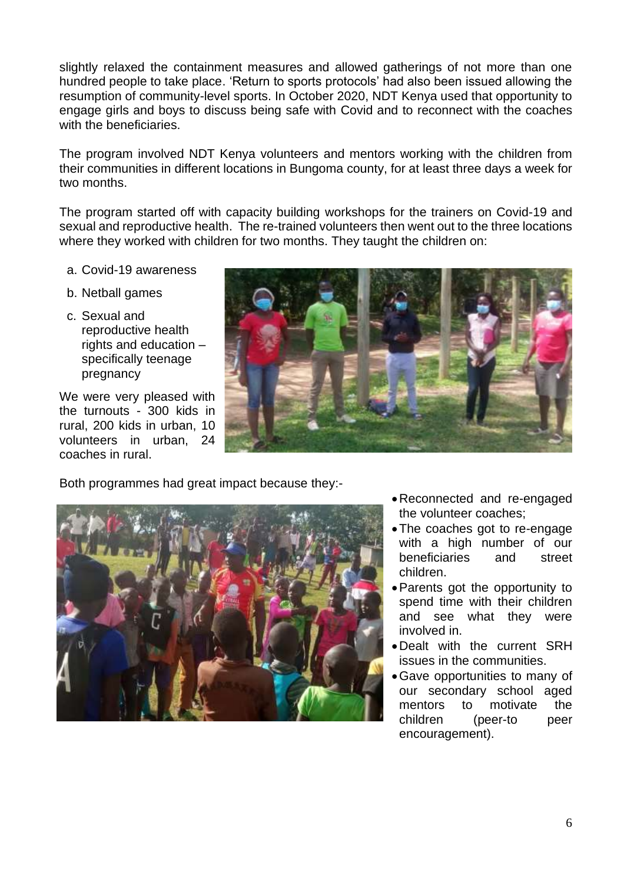slightly relaxed the containment measures and allowed gatherings of not more than one hundred people to take place. 'Return to sports protocols' had also been issued allowing the resumption of community-level sports. In October 2020, NDT Kenya used that opportunity to engage girls and boys to discuss being safe with Covid and to reconnect with the coaches with the beneficiaries.

The program involved NDT Kenya volunteers and mentors working with the children from their communities in different locations in Bungoma county, for at least three days a week for two months.

The program started off with capacity building workshops for the trainers on Covid-19 and sexual and reproductive health. The re-trained volunteers then went out to the three locations where they worked with children for two months. They taught the children on:

- a. Covid-19 awareness
- b. Netball games
- c. Sexual and reproductive health rights and education – specifically teenage pregnancy

We were very pleased with the turnouts - 300 kids in rural, 200 kids in urban, 10 volunteers in urban, 24 coaches in rural.



Both programmes had great impact because they:-



- •Reconnected and re-engaged the volunteer coaches;
- •The coaches got to re-engage with a high number of our beneficiaries and street children.
- •Parents got the opportunity to spend time with their children and see what they were involved in.
- •Dealt with the current SRH issues in the communities.
- •Gave opportunities to many of our secondary school aged mentors to motivate the children (peer-to peer encouragement).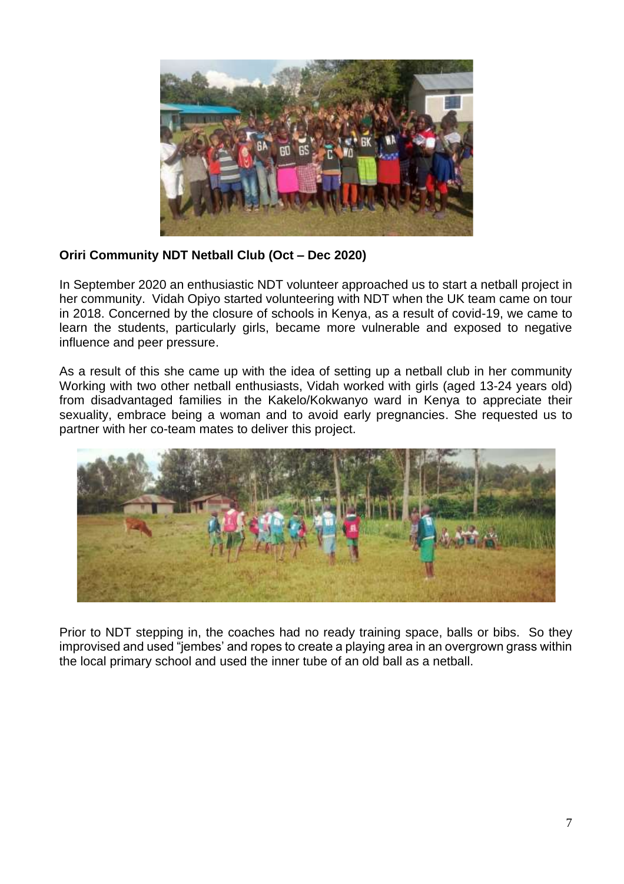

#### **Oriri Community NDT Netball Club (Oct – Dec 2020)**

In September 2020 an enthusiastic NDT volunteer approached us to start a netball project in her community. Vidah Opiyo started volunteering with NDT when the UK team came on tour in 2018. Concerned by the closure of schools in Kenya, as a result of covid-19, we came to learn the students, particularly girls, became more vulnerable and exposed to negative influence and peer pressure.

As a result of this she came up with the idea of setting up a netball club in her community Working with two other netball enthusiasts, Vidah worked with girls (aged 13-24 years old) from disadvantaged families in the Kakelo/Kokwanyo ward in Kenya to appreciate their sexuality, embrace being a woman and to avoid early pregnancies. She requested us to partner with her co-team mates to deliver this project.



Prior to NDT stepping in, the coaches had no ready training space, balls or bibs. So they improvised and used "jembes' and ropes to create a playing area in an overgrown grass within the local primary school and used the inner tube of an old ball as a netball.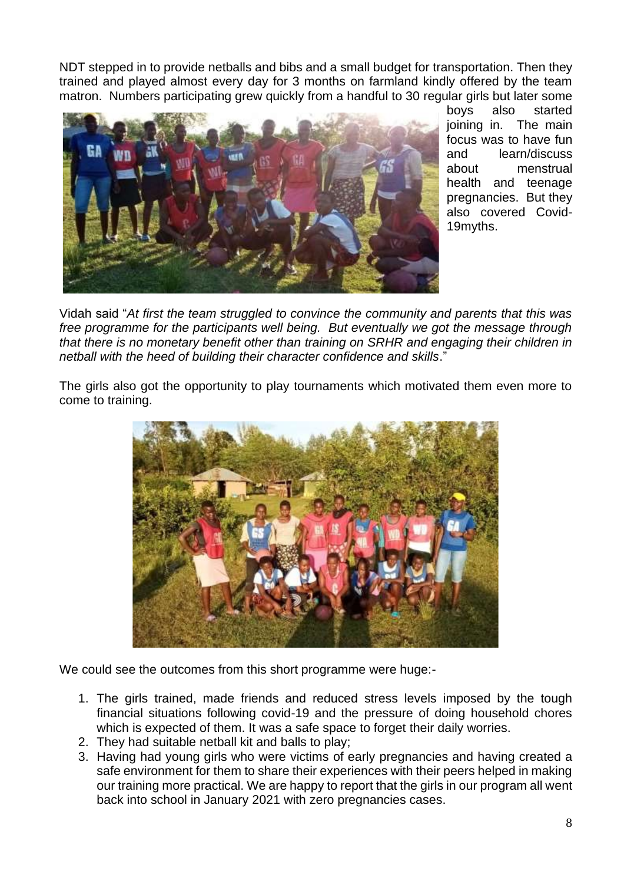NDT stepped in to provide netballs and bibs and a small budget for transportation. Then they trained and played almost every day for 3 months on farmland kindly offered by the team matron. Numbers participating grew quickly from a handful to 30 regular girls but later some



boys also started joining in. The main focus was to have fun and learn/discuss about menstrual health and teenage pregnancies. But they also covered Covid-19myths.

Vidah said "*At first the team struggled to convince the community and parents that this was free programme for the participants well being. But eventually we got the message through that there is no monetary benefit other than training on SRHR and engaging their children in netball with the heed of building their character confidence and skills*."

The girls also got the opportunity to play tournaments which motivated them even more to come to training.



We could see the outcomes from this short programme were huge:-

- 1. The girls trained, made friends and reduced stress levels imposed by the tough financial situations following covid-19 and the pressure of doing household chores which is expected of them. It was a safe space to forget their daily worries.
- 2. They had suitable netball kit and balls to play;
- 3. Having had young girls who were victims of early pregnancies and having created a safe environment for them to share their experiences with their peers helped in making our training more practical. We are happy to report that the girls in our program all went back into school in January 2021 with zero pregnancies cases.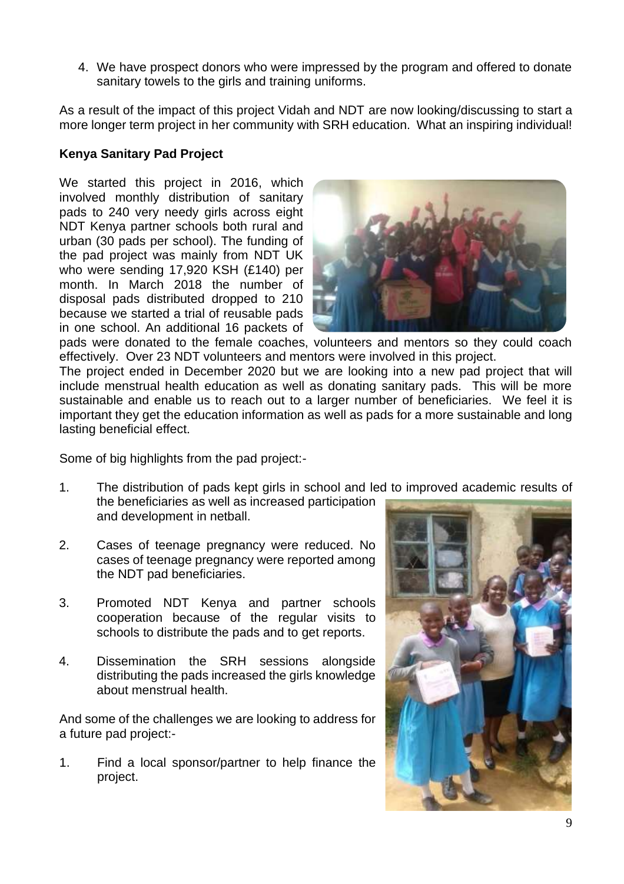4. We have prospect donors who were impressed by the program and offered to donate sanitary towels to the girls and training uniforms.

As a result of the impact of this project Vidah and NDT are now looking/discussing to start a more longer term project in her community with SRH education. What an inspiring individual!

#### **Kenya Sanitary Pad Project**

We started this project in 2016, which involved monthly distribution of sanitary pads to 240 very needy girls across eight NDT Kenya partner schools both rural and urban (30 pads per school). The funding of the pad project was mainly from NDT UK who were sending 17,920 KSH (£140) per month. In March 2018 the number of disposal pads distributed dropped to 210 because we started a trial of reusable pads in one school. An additional 16 packets of



pads were donated to the female coaches, volunteers and mentors so they could coach effectively. Over 23 NDT volunteers and mentors were involved in this project.

The project ended in December 2020 but we are looking into a new pad project that will include menstrual health education as well as donating sanitary pads. This will be more sustainable and enable us to reach out to a larger number of beneficiaries. We feel it is important they get the education information as well as pads for a more sustainable and long lasting beneficial effect.

Some of big highlights from the pad project:-

- 1. The distribution of pads kept girls in school and led to improved academic results of the beneficiaries as well as increased participation and development in netball.
- 2. Cases of teenage pregnancy were reduced. No cases of teenage pregnancy were reported among the NDT pad beneficiaries.
- 3. Promoted NDT Kenya and partner schools cooperation because of the regular visits to schools to distribute the pads and to get reports.
- 4. Dissemination the SRH sessions alongside distributing the pads increased the girls knowledge about menstrual health.

And some of the challenges we are looking to address for a future pad project:-

1. Find a local sponsor/partner to help finance the project.

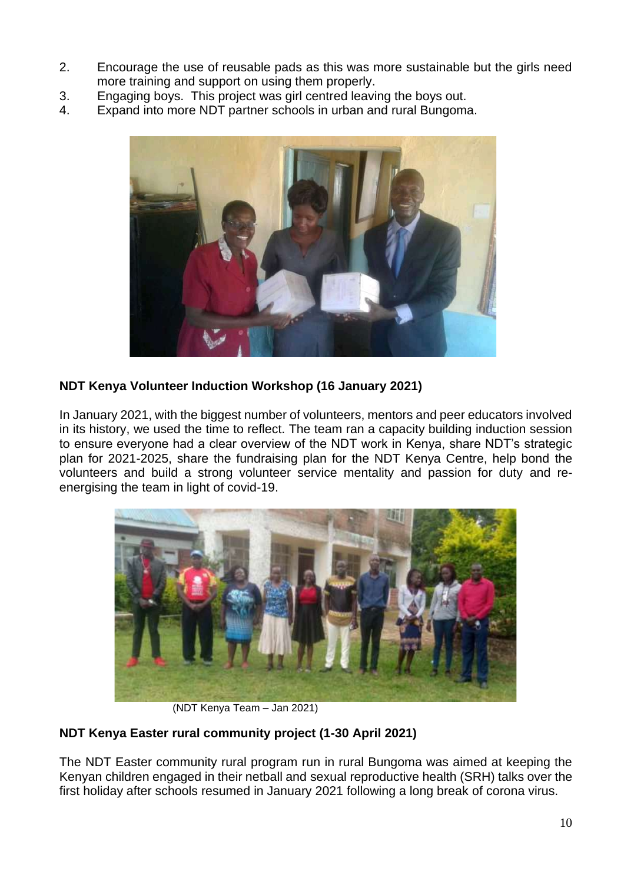- 2. Encourage the use of reusable pads as this was more sustainable but the girls need more training and support on using them properly.
- 3. Engaging boys. This project was girl centred leaving the boys out.
- 4. Expand into more NDT partner schools in urban and rural Bungoma.



#### **NDT Kenya Volunteer Induction Workshop (16 January 2021)**

In January 2021, with the biggest number of volunteers, mentors and peer educators involved in its history, we used the time to reflect. The team ran a capacity building induction session to ensure everyone had a clear overview of the NDT work in Kenya, share NDT's strategic plan for 2021-2025, share the fundraising plan for the NDT Kenya Centre, help bond the volunteers and build a strong volunteer service mentality and passion for duty and reenergising the team in light of covid-19.



(NDT Kenya Team – Jan 2021)

### **NDT Kenya Easter rural community project (1-30 April 2021)**

The NDT Easter community rural program run in rural Bungoma was aimed at keeping the Kenyan children engaged in their netball and sexual reproductive health (SRH) talks over the first holiday after schools resumed in January 2021 following a long break of corona virus.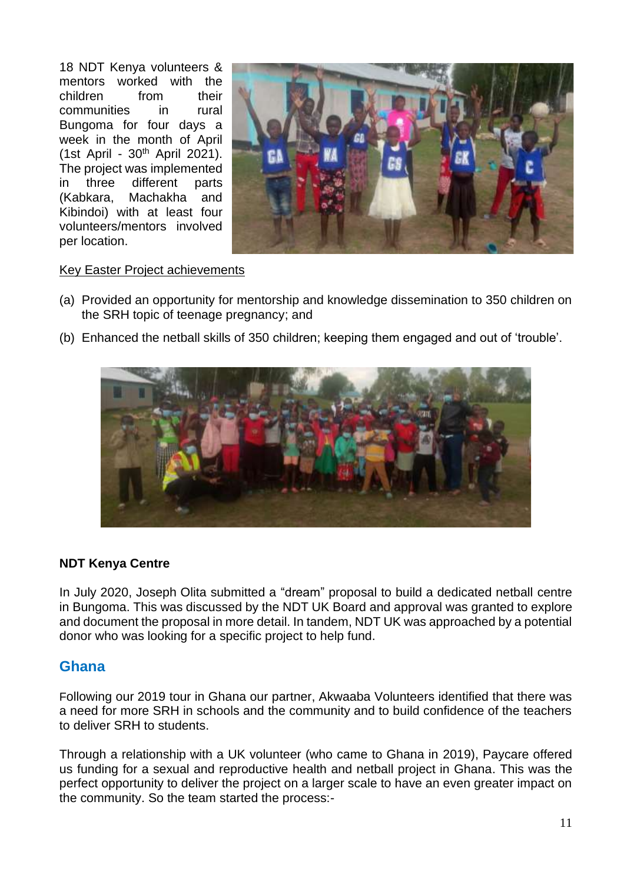18 NDT Kenya volunteers & mentors worked with the children from their communities in rural Bungoma for four days a week in the month of April (1st April - 30th April 2021). The project was implemented in three different parts (Kabkara, Machakha and Kibindoi) with at least four volunteers/mentors involved per location.



#### Key Easter Project achievements

- (a) Provided an opportunity for mentorship and knowledge dissemination to 350 children on the SRH topic of teenage pregnancy; and
- (b) Enhanced the netball skills of 350 children; keeping them engaged and out of 'trouble'.



#### **NDT Kenya Centre**

In July 2020, Joseph Olita submitted a "dream" proposal to build a dedicated netball centre in Bungoma. This was discussed by the NDT UK Board and approval was granted to explore and document the proposal in more detail. In tandem, NDT UK was approached by a potential donor who was looking for a specific project to help fund.

#### **Ghana**

Following our 2019 tour in Ghana our partner, Akwaaba Volunteers identified that there was a need for more SRH in schools and the community and to build confidence of the teachers to deliver SRH to students.

Through a relationship with a UK volunteer (who came to Ghana in 2019), Paycare offered us funding for a sexual and reproductive health and netball project in Ghana. This was the perfect opportunity to deliver the project on a larger scale to have an even greater impact on the community. So the team started the process:-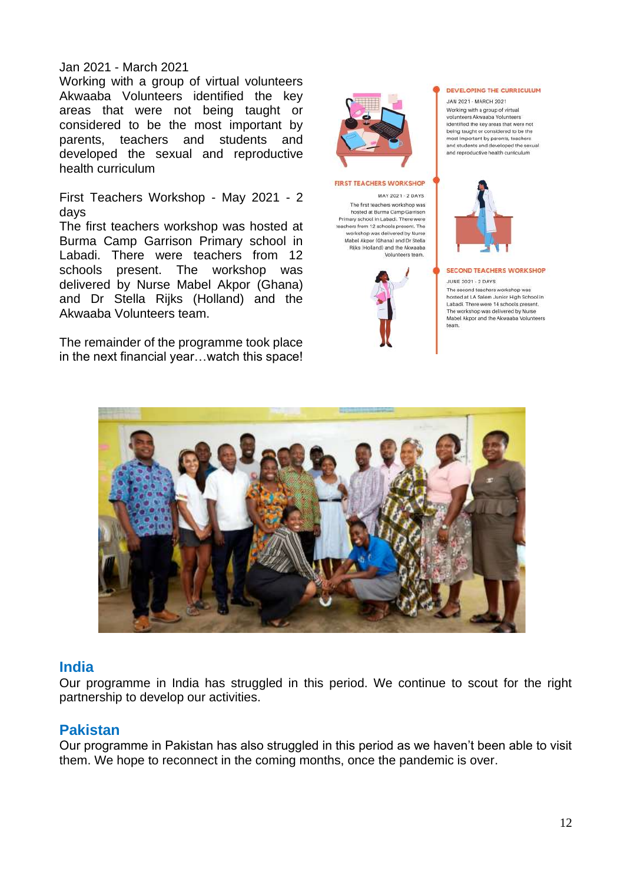#### Jan 2021 - March 2021

Working with a group of virtual volunteers Akwaaba Volunteers identified the key areas that were not being taught or considered to be the most important by parents, teachers and students and developed the sexual and reproductive health curriculum

First Teachers Workshop - May 2021 - 2 days

The first teachers workshop was hosted at Burma Camp Garrison Primary school in Labadi. There were teachers from 12 schools present. The workshop was delivered by Nurse Mabel Akpor (Ghana) and Dr Stella Rijks (Holland) and the Akwaaba Volunteers team.

The remainder of the programme took place in the next financial year…watch this space!



#### **FIRST TEACHERS WORKSHOP**

MAY 2021 - 2 DAYS The first teachers workshop was hosted at Burma Camp Garrison Primary school in Labadi. There were teachers from 12 schools present. The<br>workshop was delivered by Nurse Mabel Akpor (Ghana) and Dr Stella Rijks (Holland) and the Akwaaba Volunteers team.



#### DEVELOPING THE CURRICULUM

JAN 2021 - MARCH 2021 Working with a group of virtual volunteers Akwaaba Volunteers identified the key areas that were not being taught or considered to be the nost important by parents, teachers and students and developed the sexual and reproductive health curriculum



#### **SECOND TEACHERS WORKSHOP**

**JUNE 2021 - 2 DAYS** The second teachers workshop was

hosted at LA Salem Junior High School in<br>Labadi. There were 14 schools present. The workshop was delivered by Nurse Mabel Akpor and the Akwaaba Volunteers team.



#### **India**

Our programme in India has struggled in this period. We continue to scout for the right partnership to develop our activities.

### **Pakistan**

Our programme in Pakistan has also struggled in this period as we haven't been able to visit them. We hope to reconnect in the coming months, once the pandemic is over.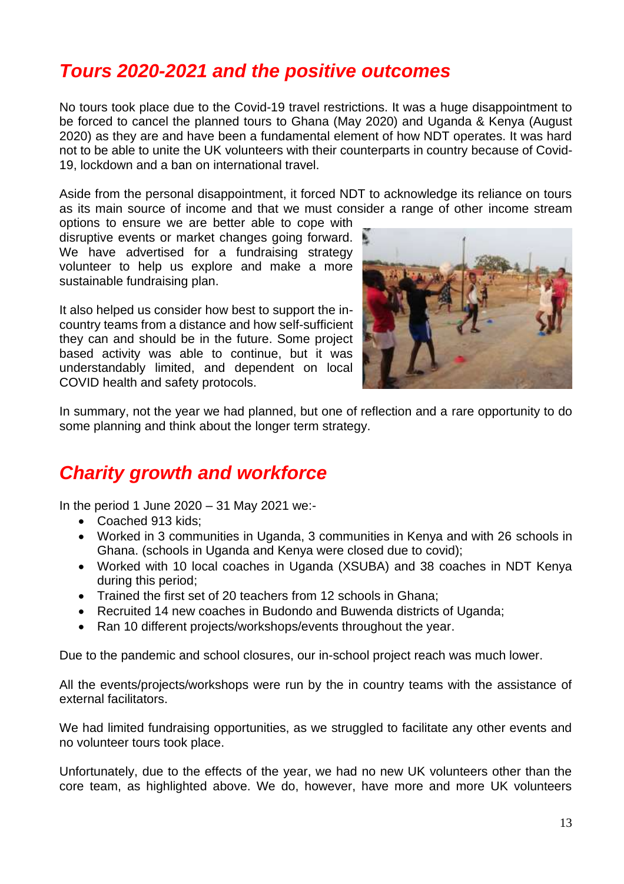## <span id="page-13-0"></span>*Tours 2020-2021 and the positive outcomes*

No tours took place due to the Covid-19 travel restrictions. It was a huge disappointment to be forced to cancel the planned tours to Ghana (May 2020) and Uganda & Kenya (August 2020) as they are and have been a fundamental element of how NDT operates. It was hard not to be able to unite the UK volunteers with their counterparts in country because of Covid-19, lockdown and a ban on international travel.

Aside from the personal disappointment, it forced NDT to acknowledge its reliance on tours as its main source of income and that we must consider a range of other income stream

options to ensure we are better able to cope with disruptive events or market changes going forward. We have advertised for a fundraising strategy volunteer to help us explore and make a more sustainable fundraising plan.

It also helped us consider how best to support the incountry teams from a distance and how self-sufficient they can and should be in the future. Some project based activity was able to continue, but it was understandably limited, and dependent on local COVID health and safety protocols.



In summary, not the year we had planned, but one of reflection and a rare opportunity to do some planning and think about the longer term strategy.

## <span id="page-13-1"></span>*Charity growth and workforce*

In the period 1 June 2020 – 31 May 2021 we:-

- Coached 913 kids;
- Worked in 3 communities in Uganda, 3 communities in Kenya and with 26 schools in Ghana. (schools in Uganda and Kenya were closed due to covid);
- Worked with 10 local coaches in Uganda (XSUBA) and 38 coaches in NDT Kenya during this period;
- Trained the first set of 20 teachers from 12 schools in Ghana;
- Recruited 14 new coaches in Budondo and Buwenda districts of Uganda;
- Ran 10 different projects/workshops/events throughout the year.

Due to the pandemic and school closures, our in-school project reach was much lower.

All the events/projects/workshops were run by the in country teams with the assistance of external facilitators.

We had limited fundraising opportunities, as we struggled to facilitate any other events and no volunteer tours took place.

Unfortunately, due to the effects of the year, we had no new UK volunteers other than the core team, as highlighted above. We do, however, have more and more UK volunteers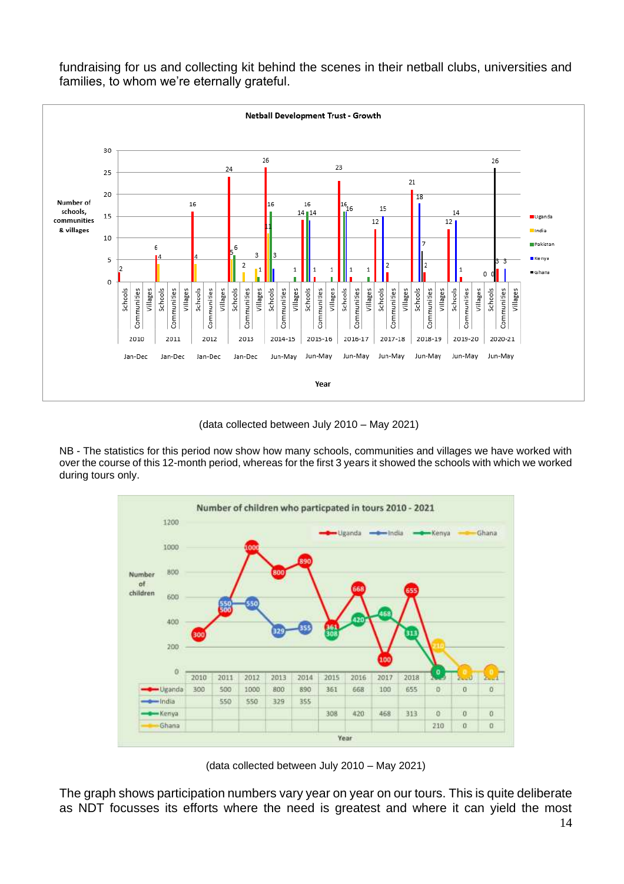

fundraising for us and collecting kit behind the scenes in their netball clubs, universities and families, to whom we're eternally grateful.

(data collected between July 2010 – May 2021)

NB - The statistics for this period now show how many schools, communities and villages we have worked with over the course of this 12-month period, whereas for the first 3 years it showed the schools with which we worked during tours only.



(data collected between July 2010 – May 2021)

The graph shows participation numbers vary year on year on our tours. This is quite deliberate as NDT focusses its efforts where the need is greatest and where it can yield the most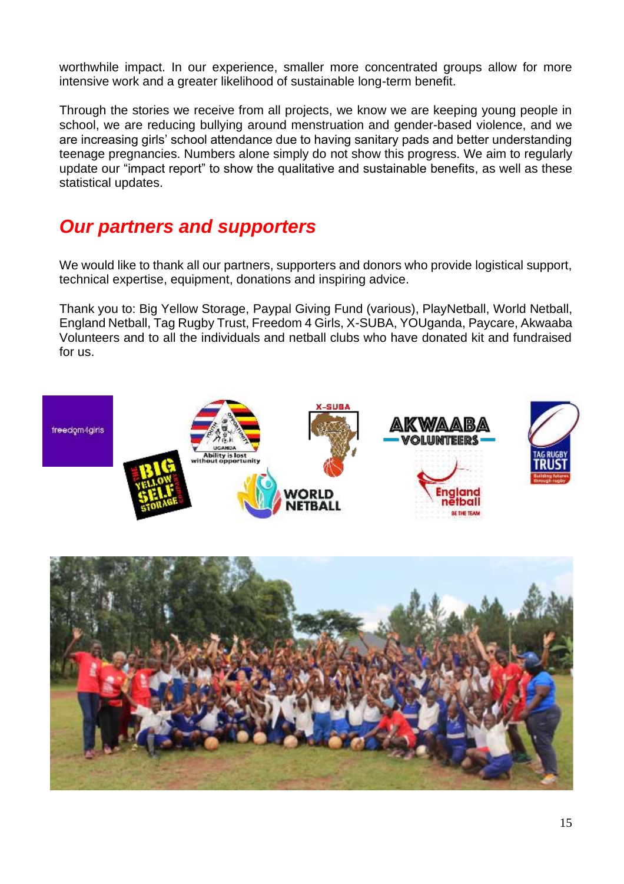worthwhile impact. In our experience, smaller more concentrated groups allow for more intensive work and a greater likelihood of sustainable long-term benefit.

Through the stories we receive from all projects, we know we are keeping young people in school, we are reducing bullying around menstruation and gender-based violence, and we are increasing girls' school attendance due to having sanitary pads and better understanding teenage pregnancies. Numbers alone simply do not show this progress. We aim to regularly update our "impact report" to show the qualitative and sustainable benefits, as well as these statistical updates.

## <span id="page-15-0"></span>*Our partners and supporters*

We would like to thank all our partners, supporters and donors who provide logistical support, technical expertise, equipment, donations and inspiring advice.

Thank you to: Big Yellow Storage, Paypal Giving Fund (various), PlayNetball, World Netball, England Netball, Tag Rugby Trust, Freedom 4 Girls, X-SUBA, YOUganda, Paycare, Akwaaba Volunteers and to all the individuals and netball clubs who have donated kit and fundraised for us.



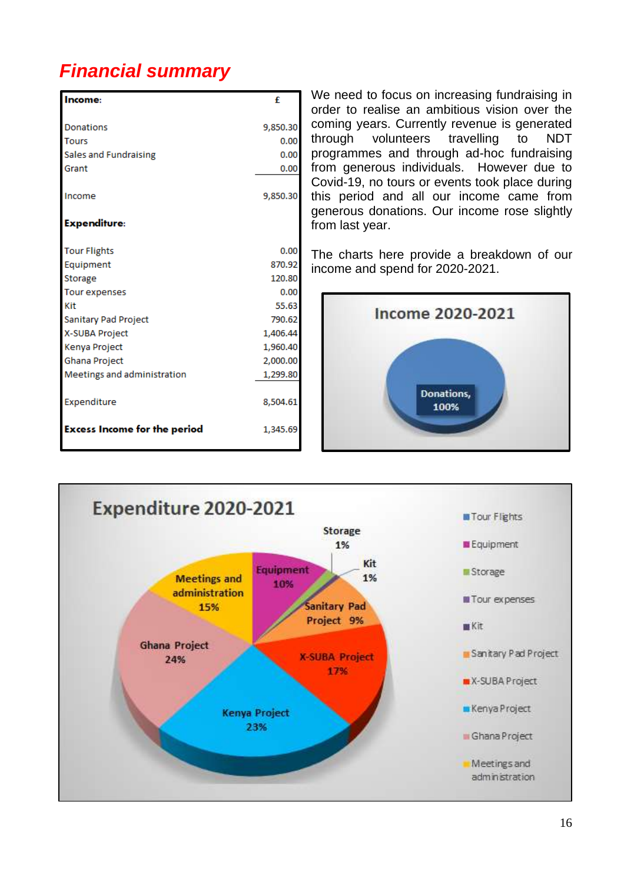# <span id="page-16-0"></span>*Financial summary*

| Income:                             | £        |
|-------------------------------------|----------|
| Donations                           | 9,850.30 |
| <b>Tours</b>                        | 0.00     |
| Sales and Fundraising               | 0.00     |
| Grant                               | 0.00     |
| Income                              | 9,850.30 |
| <b>Expenditure:</b>                 |          |
| <b>Tour Flights</b>                 | 0.00     |
| Equipment                           | 870.92   |
| Storage                             | 120.80   |
| <b>Tour expenses</b>                | 0.00     |
| Kit                                 | 55.63    |
| Sanitary Pad Project                | 790.62   |
| X-SUBA Project                      | 1,406.44 |
| Kenya Project                       | 1,960.40 |
| Ghana Project                       | 2,000.00 |
| Meetings and administration         | 1,299.80 |
| Expenditure                         | 8,504.61 |
| <b>Excess Income for the period</b> | 1,345.69 |

We need to focus on increasing fundraising in order to realise an ambitious vision over the coming years. Currently revenue is generated through volunteers travelling to NDT programmes and through ad-hoc fundraising from generous individuals. However due to Covid-19, no tours or events took place during this period and all our income came from generous donations. Our income rose slightly from last year.

The charts here provide a breakdown of our income and spend for 2020-2021.